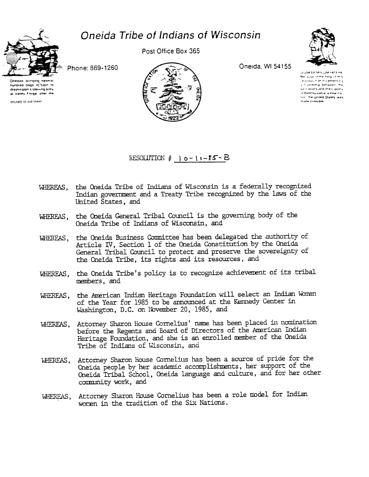

Oneida Tribe of Indians of Wisconsin

Phone: 869-1260

Oneidas bringing buodied bags giftoin to Washington's starving army at Valley Forge, after the

refused to aid them

Post Office Box 365



Oneida, WI 54155



CILLIVA OF MOLLIM YATEHE an accountmenting of mix threshing helion cementing a hieroship between the ux nations and the Colony Il Pennsylvania, a new cature the united States, was made possible

RESOLUTION  $\sharp$  10-11-85-B

- WHEREAS, the Oneida Tribe of Indians of Wisconsin is a federally recognized Indian government and a Treaty Tribe recognized by the laws of the United States, and
- WHEREAS, the Oneida General Tribal Council is the governing body of the Oneida Tribe of Indians of Wisconsin, and
- WHEREAS, the Oneida Business Committee has been delegated the authority of Article IV, Section 1 of the Oneida Constitution by the Oneida General Tribal Council to protect and preserve the sovereignty of the Cneida Tribe, its rights and its resources, and
- WHEREAS, the Oneida Tribe's policy is to recognize achievement of its tribal members, and
- the American Indian Heritage Foundation will select an Indian Woman WHEREAS, of the Year for 1985 to be announced at the Kennedy Center in Washington, D.C. on November 20, 1985, and
- Attorney Sharon House Cornelius' name has been placed in nomination WHEREAS. before the Regents and Eoard of Directors of the American Indian Heritage Foundation, and she is an enrolled member of the Oneida Tribe of Indians of Wisconsin, and
- WHEREAS, Attorney Sharon House Cornelius has been a source of pride for the Cneida people by her academic accomplishments, her support of the Oneida Tribal School, Oneida language and culture, and for her other community work, and
- WHEREAS, Attorney Sharon House Cornelius has been a role model for Indian women in the tradition of the Six Nations.